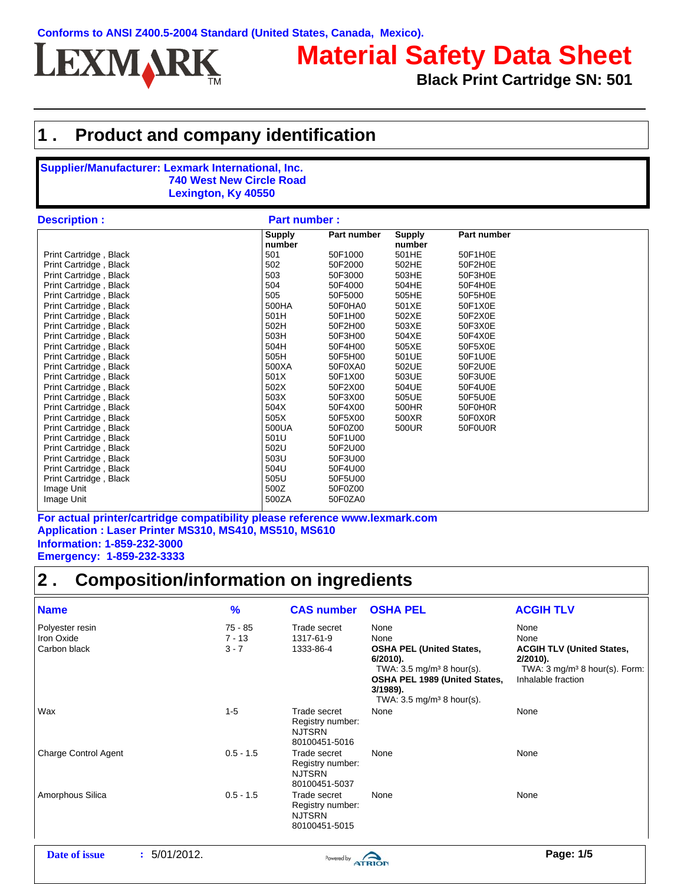

# **Material Safety Data Sheet**

**Black Print Cartridge SN: 501**

### **1 . Product and company identification**

#### **Supplier/Manufacturer: Lexmark International, Inc. 740 West New Circle Road Lexington, Ky 40550**

| <b>Description:</b>    | <b>Part number:</b>     |             |                         |             |  |  |
|------------------------|-------------------------|-------------|-------------------------|-------------|--|--|
|                        | <b>Supply</b><br>number | Part number | <b>Supply</b><br>number | Part number |  |  |
| Print Cartridge, Black | 501                     | 50F1000     | 501HE                   | 50F1H0E     |  |  |
| Print Cartridge, Black | 502                     | 50F2000     | 502HE                   | 50F2H0E     |  |  |
| Print Cartridge, Black | 503                     | 50F3000     | 503HE                   | 50F3H0E     |  |  |
| Print Cartridge, Black | 504                     | 50F4000     | 504HE                   | 50F4H0E     |  |  |
| Print Cartridge, Black | 505                     | 50F5000     | 505HE                   | 50F5H0E     |  |  |
| Print Cartridge, Black | 500HA                   | 50F0HA0     | 501XE                   | 50F1X0E     |  |  |
| Print Cartridge, Black | 501H                    | 50F1H00     | 502XE                   | 50F2X0E     |  |  |
| Print Cartridge, Black | 502H                    | 50F2H00     | 503XE                   | 50F3X0E     |  |  |
| Print Cartridge, Black | 503H                    | 50F3H00     | 504XE                   | 50F4X0E     |  |  |
| Print Cartridge, Black | 504H                    | 50F4H00     | 505XE                   | 50F5X0E     |  |  |
| Print Cartridge, Black | 505H                    | 50F5H00     | 501UE                   | 50F1U0E     |  |  |
| Print Cartridge, Black | 500XA                   | 50F0XA0     | 502UE                   | 50F2U0E     |  |  |
| Print Cartridge, Black | 501X                    | 50F1X00     | 503UE                   | 50F3U0E     |  |  |
| Print Cartridge, Black | 502X                    | 50F2X00     | 504UE                   | 50F4U0E     |  |  |
| Print Cartridge, Black | 503X                    | 50F3X00     | 505UE                   | 50F5U0E     |  |  |
| Print Cartridge, Black | 504X                    | 50F4X00     | 500HR                   | 50F0H0R     |  |  |
| Print Cartridge, Black | 505X                    | 50F5X00     | 500XR                   | 50F0X0R     |  |  |
| Print Cartridge, Black | 500UA                   | 50F0Z00     | 500UR                   | 50F0U0R     |  |  |
| Print Cartridge, Black | 501U                    | 50F1U00     |                         |             |  |  |
| Print Cartridge, Black | 502U                    | 50F2U00     |                         |             |  |  |
| Print Cartridge, Black | 503U                    | 50F3U00     |                         |             |  |  |
| Print Cartridge, Black | 504U                    | 50F4U00     |                         |             |  |  |
| Print Cartridge, Black | 505U                    | 50F5U00     |                         |             |  |  |
| Image Unit             | 500Z                    | 50F0Z00     |                         |             |  |  |
| Image Unit             | 500ZA                   | 50F0ZA0     |                         |             |  |  |

**Application : Laser Printer MS310, MS410, MS510, MS610 Information: 1-859-232-3000 Emergency: 1-859-232-3333 For actual printer/cartridge compatibility please reference www.lexmark.com**

### **2 . Composition/information on ingredients**

| <b>Name</b>                                   | $\frac{9}{6}$                    | <b>CAS number</b>                                                  | <b>OSHA PEL</b>                                                                                                                                                                                    | <b>ACGIH TLV</b>                                                                                                                  |
|-----------------------------------------------|----------------------------------|--------------------------------------------------------------------|----------------------------------------------------------------------------------------------------------------------------------------------------------------------------------------------------|-----------------------------------------------------------------------------------------------------------------------------------|
| Polyester resin<br>Iron Oxide<br>Carbon black | $75 - 85$<br>$7 - 13$<br>$3 - 7$ | Trade secret<br>1317-61-9<br>1333-86-4                             | None<br>None<br><b>OSHA PEL (United States,</b><br>$6/2010$ ).<br>TWA: $3.5 \text{ mg/m}^3$ 8 hour(s).<br><b>OSHA PEL 1989 (United States,</b><br>3/1989).<br>TWA: $3.5 \text{ mg/m}^3$ 8 hour(s). | None<br>None<br><b>ACGIH TLV (United States,</b><br>$2/2010$ ).<br>TWA: $3 \text{ mg/m}^3$ 8 hour(s). Form:<br>Inhalable fraction |
| Wax                                           | $1 - 5$                          | Trade secret<br>Registry number:<br><b>NJTSRN</b><br>80100451-5016 | None                                                                                                                                                                                               | None                                                                                                                              |
| <b>Charge Control Agent</b>                   | $0.5 - 1.5$                      | Trade secret<br>Registry number:<br><b>NJTSRN</b><br>80100451-5037 | None                                                                                                                                                                                               | None                                                                                                                              |
| Amorphous Silica                              | $0.5 - 1.5$                      | Trade secret<br>Registry number:<br><b>NJTSRN</b><br>80100451-5015 | None                                                                                                                                                                                               | None                                                                                                                              |

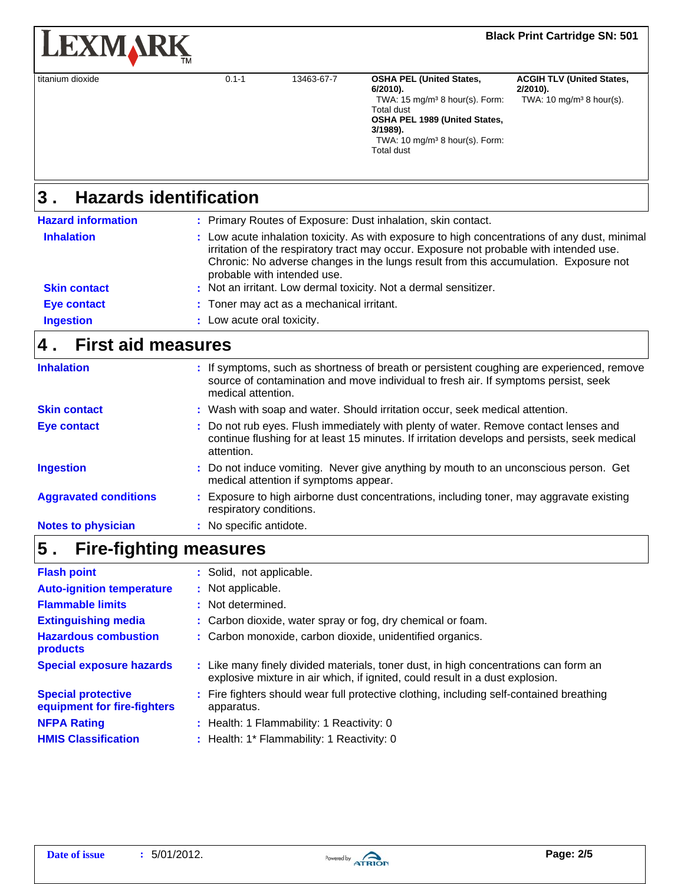| <b>LEXMARK</b>   |                               |            |                                                                                                                                                                                                                                 | <b>Black Print Cartridge SN: 501</b>                                                   |  |  |
|------------------|-------------------------------|------------|---------------------------------------------------------------------------------------------------------------------------------------------------------------------------------------------------------------------------------|----------------------------------------------------------------------------------------|--|--|
| titanium dioxide | $0.1 - 1$                     | 13463-67-7 | <b>OSHA PEL (United States,</b><br>$6/2010$ ).<br>TWA: $15 \text{ mg/m}^3$ 8 hour(s). Form:<br><b>Total dust</b><br>OSHA PEL 1989 (United States,<br>3/1989).<br>TWA: $10 \text{ mg/m}^3$ 8 hour(s). Form:<br><b>Total dust</b> | <b>ACGIH TLV (United States,</b><br>$2/2010$ ).<br>TWA: $10 \text{ mg/m}^3$ 8 hour(s). |  |  |
| 3                | <b>Hazards identification</b> |            |                                                                                                                                                                                                                                 |                                                                                        |  |  |

#### **Hazards identification 3 .**

| <b>Hazard information</b> | : Primary Routes of Exposure: Dust inhalation, skin contact.                                                                                                                                                                                                                                                    |
|---------------------------|-----------------------------------------------------------------------------------------------------------------------------------------------------------------------------------------------------------------------------------------------------------------------------------------------------------------|
| <b>Inhalation</b>         | : Low acute inhalation toxicity. As with exposure to high concentrations of any dust, minimal<br>irritation of the respiratory tract may occur. Exposure not probable with intended use.<br>Chronic: No adverse changes in the lungs result from this accumulation. Exposure not<br>probable with intended use. |
| <b>Skin contact</b>       | : Not an irritant. Low dermal toxicity. Not a dermal sensitizer.                                                                                                                                                                                                                                                |
| <b>Eye contact</b>        | : Toner may act as a mechanical irritant.                                                                                                                                                                                                                                                                       |
| <b>Ingestion</b>          | : Low acute oral toxicity.                                                                                                                                                                                                                                                                                      |

## **4 . First aid measures**

| <b>Inhalation</b>            | : If symptoms, such as shortness of breath or persistent coughing are experienced, remove<br>source of contamination and move individual to fresh air. If symptoms persist, seek<br>medical attention. |
|------------------------------|--------------------------------------------------------------------------------------------------------------------------------------------------------------------------------------------------------|
| <b>Skin contact</b>          | : Wash with soap and water. Should irritation occur, seek medical attention.                                                                                                                           |
| Eye contact                  | : Do not rub eyes. Flush immediately with plenty of water. Remove contact lenses and<br>continue flushing for at least 15 minutes. If irritation develops and persists, seek medical<br>attention.     |
| <b>Ingestion</b>             | : Do not induce vomiting. Never give anything by mouth to an unconscious person. Get<br>medical attention if symptoms appear.                                                                          |
| <b>Aggravated conditions</b> | : Exposure to high airborne dust concentrations, including toner, may aggravate existing<br>respiratory conditions.                                                                                    |
| <b>Notes to physician</b>    | : No specific antidote.                                                                                                                                                                                |

### **Fire-fighting measures 5 .**

| <b>Flash point</b>                                       | : Solid, not applicable.                                                                                                                                              |
|----------------------------------------------------------|-----------------------------------------------------------------------------------------------------------------------------------------------------------------------|
| <b>Auto-ignition temperature</b>                         | : Not applicable.                                                                                                                                                     |
| <b>Flammable limits</b>                                  | : Not determined.                                                                                                                                                     |
| <b>Extinguishing media</b>                               | : Carbon dioxide, water spray or fog, dry chemical or foam.                                                                                                           |
| <b>Hazardous combustion</b><br>products                  | : Carbon monoxide, carbon dioxide, unidentified organics.                                                                                                             |
| <b>Special exposure hazards</b>                          | : Like many finely divided materials, toner dust, in high concentrations can form an<br>explosive mixture in air which, if ignited, could result in a dust explosion. |
| <b>Special protective</b><br>equipment for fire-fighters | : Fire fighters should wear full protective clothing, including self-contained breathing<br>apparatus.                                                                |
| <b>NFPA Rating</b>                                       | : Health: 1 Flammability: 1 Reactivity: 0                                                                                                                             |
| <b>HMIS Classification</b>                               | : Health: 1* Flammability: 1 Reactivity: 0                                                                                                                            |
|                                                          |                                                                                                                                                                       |

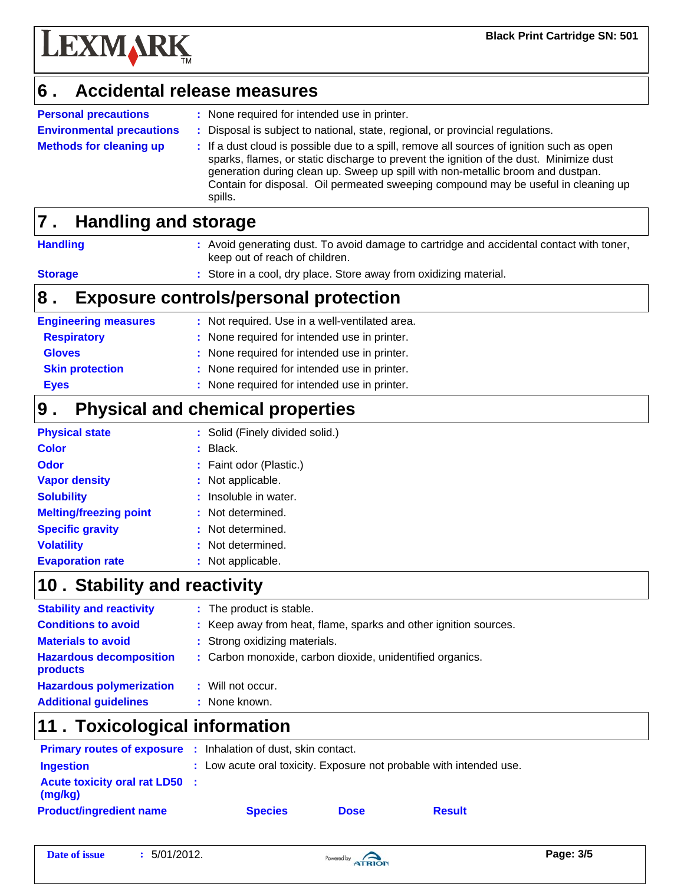

#### **Accidental release measures 6 .**

**Environmental precautions Personal precautions : Methods for cleaning up :**

- : None required for intended use in printer.
- **:** Disposal is subject to national, state, regional, or provincial regulations.
- : If a dust cloud is possible due to a spill, remove all sources of ignition such as open sparks, flames, or static discharge to prevent the ignition of the dust. Minimize dust generation during clean up. Sweep up spill with non-metallic broom and dustpan. Contain for disposal. Oil permeated sweeping compound may be useful in cleaning up spills.

#### **Handling and storage 7 .**

| <b>Handling</b> | : Avoid generating dust. To avoid damage to cartridge and accidental contact with toner,<br>keep out of reach of children. |
|-----------------|----------------------------------------------------------------------------------------------------------------------------|
|                 |                                                                                                                            |

#### **Storage**

**:** Store in a cool, dry place. Store away from oxidizing material.

### **8 . Exposure controls/personal protection**

| <b>Engineering measures</b> | : Not required. Use in a well-ventilated area. |
|-----------------------------|------------------------------------------------|
| <b>Respiratory</b>          | : None required for intended use in printer.   |
| <b>Gloves</b>               | : None required for intended use in printer.   |
| <b>Skin protection</b>      | : None required for intended use in printer.   |
| <b>Eyes</b>                 | : None required for intended use in printer.   |
|                             |                                                |

#### **Physical and chemical properties 9 .**

| <b>Physical state</b>         |    | : Solid (Finely divided solid.) |
|-------------------------------|----|---------------------------------|
| <b>Color</b>                  |    | Black.                          |
| <b>Odor</b>                   |    | : Faint odor (Plastic.)         |
| <b>Vapor density</b>          |    | : Not applicable.               |
| <b>Solubility</b>             |    | : Insoluble in water.           |
| <b>Melting/freezing point</b> |    | : Not determined.               |
| <b>Specific gravity</b>       | ÷. | Not determined.                 |
| <b>Volatility</b>             |    | Not determined.                 |
| <b>Evaporation rate</b>       |    | Not applicable.                 |

### 10 . Stability and reactivity

| <b>Stability and reactivity</b>            | : The product is stable.                                         |
|--------------------------------------------|------------------------------------------------------------------|
| <b>Conditions to avoid</b>                 | : Keep away from heat, flame, sparks and other ignition sources. |
| <b>Materials to avoid</b>                  | : Strong oxidizing materials.                                    |
| <b>Hazardous decomposition</b><br>products | : Carbon monoxide, carbon dioxide, unidentified organics.        |
| <b>Hazardous polymerization</b>            | : Will not occur.                                                |
| <b>Additional guidelines</b>               | : None known.                                                    |
|                                            |                                                                  |

### **11 . Toxicological information**

| <b>Primary routes of exposure :</b> Inhalation of dust, skin contact. |                                                                     |             |               |  |  |
|-----------------------------------------------------------------------|---------------------------------------------------------------------|-------------|---------------|--|--|
| <b>Ingestion</b>                                                      | : Low acute oral toxicity. Exposure not probable with intended use. |             |               |  |  |
| <b>Acute toxicity oral rat LD50</b> :<br>(mg/kg)                      |                                                                     |             |               |  |  |
| <b>Product/ingredient name</b>                                        | <b>Species</b>                                                      | <b>Dose</b> | <b>Result</b> |  |  |

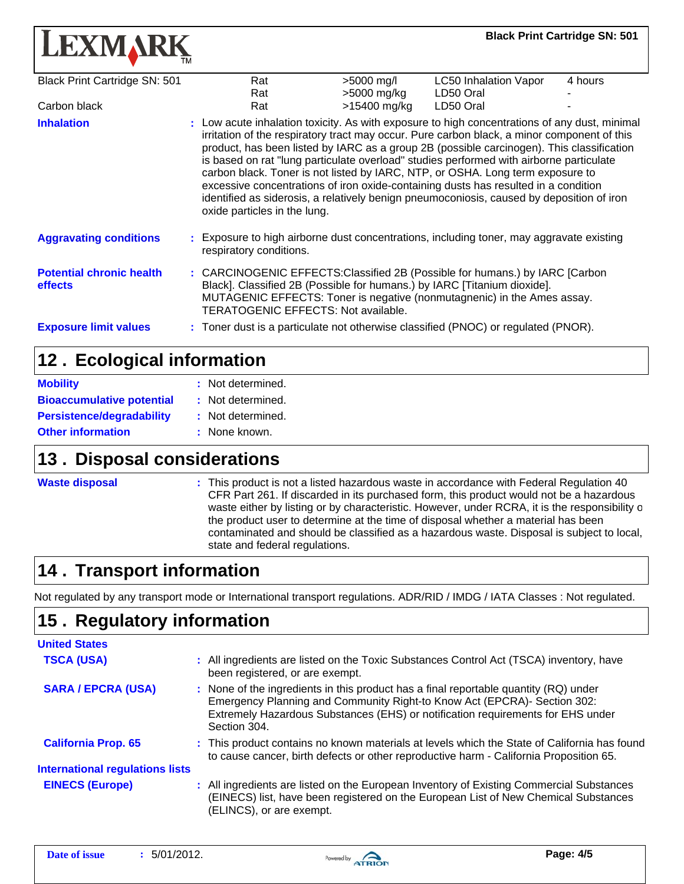| <b>LEXMARK</b>                             |                                                                                                                                                                                                                                                                                                                                                                                                                                                                                                                                                                                                                                                                                            |                           |                                    |  | <b>Black Print Cartridge SN: 501</b> |
|--------------------------------------------|--------------------------------------------------------------------------------------------------------------------------------------------------------------------------------------------------------------------------------------------------------------------------------------------------------------------------------------------------------------------------------------------------------------------------------------------------------------------------------------------------------------------------------------------------------------------------------------------------------------------------------------------------------------------------------------------|---------------------------|------------------------------------|--|--------------------------------------|
| Black Print Cartridge SN: 501              | Rat<br>Rat                                                                                                                                                                                                                                                                                                                                                                                                                                                                                                                                                                                                                                                                                 | >5000 mg/l<br>>5000 mg/kg | LC50 Inhalation Vapor<br>LD50 Oral |  | 4 hours                              |
| Carbon black                               | Rat                                                                                                                                                                                                                                                                                                                                                                                                                                                                                                                                                                                                                                                                                        | >15400 mg/kg              | LD50 Oral                          |  |                                      |
| <b>Inhalation</b>                          | : Low acute inhalation toxicity. As with exposure to high concentrations of any dust, minimal<br>irritation of the respiratory tract may occur. Pure carbon black, a minor component of this<br>product, has been listed by IARC as a group 2B (possible carcinogen). This classification<br>is based on rat "lung particulate overload" studies performed with airborne particulate<br>carbon black. Toner is not listed by IARC, NTP, or OSHA. Long term exposure to<br>excessive concentrations of iron oxide-containing dusts has resulted in a condition<br>identified as siderosis, a relatively benign pneumoconiosis, caused by deposition of iron<br>oxide particles in the lung. |                           |                                    |  |                                      |
| <b>Aggravating conditions</b>              | : Exposure to high airborne dust concentrations, including toner, may aggravate existing<br>respiratory conditions.                                                                                                                                                                                                                                                                                                                                                                                                                                                                                                                                                                        |                           |                                    |  |                                      |
| <b>Potential chronic health</b><br>effects | : CARCINOGENIC EFFECTS: Classified 2B (Possible for humans.) by IARC [Carbon<br>Black]. Classified 2B (Possible for humans.) by IARC [Titanium dioxide].<br>MUTAGENIC EFFECTS: Toner is negative (nonmutagnenic) in the Ames assay.<br><b>TERATOGENIC EFFECTS: Not available.</b>                                                                                                                                                                                                                                                                                                                                                                                                          |                           |                                    |  |                                      |
| <b>Exposure limit values</b>               | Toner dust is a particulate not otherwise classified (PNOC) or regulated (PNOR).                                                                                                                                                                                                                                                                                                                                                                                                                                                                                                                                                                                                           |                           |                                    |  |                                      |

### 12. Ecological information

| <b>Mobility</b>                  | : Not determined. |
|----------------------------------|-------------------|
| <b>Bioaccumulative potential</b> | : Not determined. |
| <b>Persistence/degradability</b> | : Not determined. |
| <b>Other information</b>         | : None known.     |

### **13. Disposal considerations**

| <b>Waste disposal</b> |  |  |
|-----------------------|--|--|
|                       |  |  |
|                       |  |  |

**:** This product is not a listed hazardous waste in accordance with Federal Regulation 40 CFR Part 261. If discarded in its purchased form, this product would not be a hazardous waste either by listing or by characteristic. However, under RCRA, it is the responsibility o the product user to determine at the time of disposal whether a material has been contaminated and should be classified as a hazardous waste. Disposal is subject to local, state and federal regulations.

## **14 . Transport information**

Not regulated by any transport mode or International transport regulations. ADR/RID / IMDG / IATA Classes : Not regulated.

## **15. Regulatory information**

| <b>United States</b>                   |                                                                                                                                                                                                                                                                     |
|----------------------------------------|---------------------------------------------------------------------------------------------------------------------------------------------------------------------------------------------------------------------------------------------------------------------|
| <b>TSCA (USA)</b>                      | : All ingredients are listed on the Toxic Substances Control Act (TSCA) inventory, have<br>been registered, or are exempt.                                                                                                                                          |
| <b>SARA / EPCRA (USA)</b>              | : None of the ingredients in this product has a final reportable quantity (RQ) under<br>Emergency Planning and Community Right-to Know Act (EPCRA)- Section 302:<br>Extremely Hazardous Substances (EHS) or notification requirements for EHS under<br>Section 304. |
| <b>California Prop. 65</b>             | : This product contains no known materials at levels which the State of California has found<br>to cause cancer, birth defects or other reproductive harm - California Proposition 65.                                                                              |
| <b>International regulations lists</b> |                                                                                                                                                                                                                                                                     |
| <b>EINECS (Europe)</b>                 | : All ingredients are listed on the European Inventory of Existing Commercial Substances<br>(EINECS) list, have been registered on the European List of New Chemical Substances<br>(ELINCS), or are exempt.                                                         |